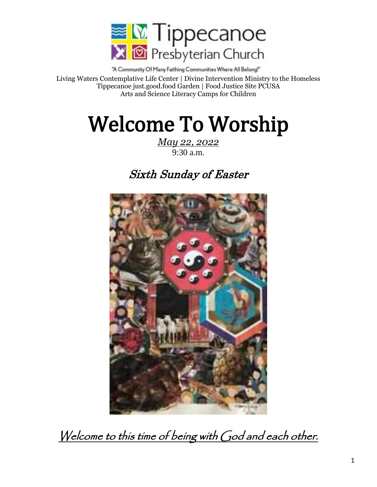

"A Community Of Many Faithing Communities Where All Belong!" Living Waters Contemplative Life Center | Divine Intervention Ministry to the Homeless Tippecanoe just.good.food Garden | Food Justice Site PCUSA Arts and Science Literacy Camps for Children

# Welcome To Worship

*May 22, 2022* 9:30 a.m.

# Sixth Sunday of Easter



Welcome to this time of being with God and each other.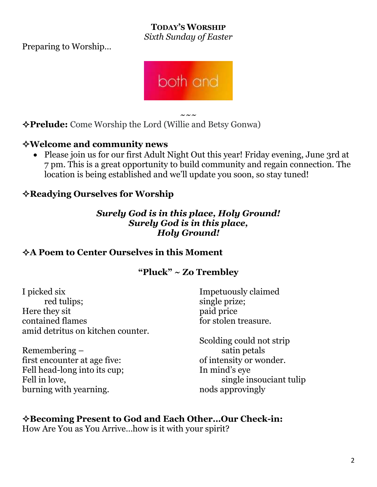#### **TODAY'S WORSHIP**

*Sixth Sunday of Easter*

Preparing to Worship…



 $\sim\sim\:\sim$ 

**Prelude:** Come Worship the Lord (Willie and Betsy Gonwa)

#### **Welcome and community news**

• Please join us for our first Adult Night Out this year! Friday evening, June 3rd at 7 pm. This is a great opportunity to build community and regain connection. The location is being established and we'll update you soon, so stay tuned!

## **Readying Ourselves for Worship**

#### *Surely God is in this place, Holy Ground! Surely God is in this place, Holy Ground!*

#### **A Poem to Center Ourselves in this Moment**

## **"Pluck" ~ Zo Trembley**

I picked six red tulips; Here they sit contained flames amid detritus on kitchen counter.

Remembering – first encounter at age five: Fell head-long into its cup; Fell in love, burning with yearning.

Impetuously claimed single prize; paid price for stolen treasure.

Scolding could not strip satin petals of intensity or wonder. In mind's eye single insouciant tulip nods approvingly

## **Becoming Present to God and Each Other…Our Check-in:**

How Are You as You Arrive…how is it with your spirit?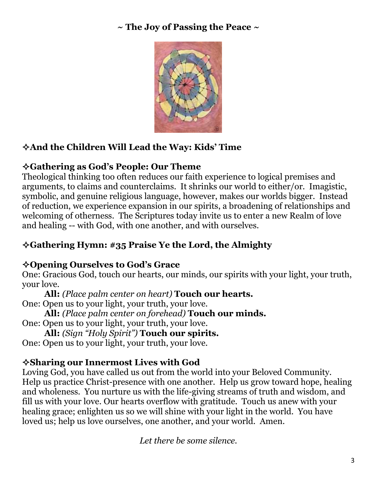## **~ The Joy of Passing the Peace ~**



## **And the Children Will Lead the Way: Kids' Time**

## **Gathering as God's People: Our Theme**

Theological thinking too often reduces our faith experience to logical premises and arguments, to claims and counterclaims. It shrinks our world to either/or. Imagistic, symbolic, and genuine religious language, however, makes our worlds bigger. Instead of reduction, we experience expansion in our spirits, a broadening of relationships and welcoming of otherness. The Scriptures today invite us to enter a new Realm of love and healing -- with God, with one another, and with ourselves.

## **Gathering Hymn: #35 Praise Ye the Lord, the Almighty**

## **Opening Ourselves to God's Grace**

One: Gracious God, touch our hearts, our minds, our spirits with your light, your truth, your love.

**All:** *(Place palm center on heart)* **Touch our hearts.** One: Open us to your light, your truth, your love.

**All:** *(Place palm center on forehead)* **Touch our minds.**

One: Open us to your light, your truth, your love.

**All:** *(Sign "Holy Spirit")* **Touch our spirits.**

One: Open us to your light, your truth, your love.

## **Sharing our Innermost Lives with God**

Loving God, you have called us out from the world into your Beloved Community. Help us practice Christ-presence with one another. Help us grow toward hope, healing and wholeness. You nurture us with the life-giving streams of truth and wisdom, and fill us with your love. Our hearts overflow with gratitude. Touch us anew with your healing grace; enlighten us so we will shine with your light in the world. You have loved us; help us love ourselves, one another, and your world. Amen.

*Let there be some silence.*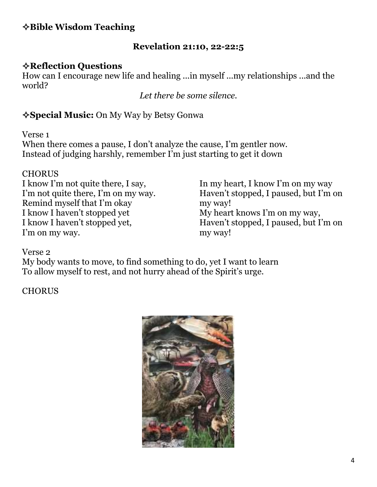### **Bible Wisdom Teaching**

#### **Revelation 21:10, 22-22:5**

#### **Reflection Questions**

How can I encourage new life and healing ...in myself ...my relationships ...and the world?

*Let there be some silence.*

## **Special Music:** On My Way by Betsy Gonwa

Verse 1

When there comes a pause, I don't analyze the cause, I'm gentler now. Instead of judging harshly, remember I'm just starting to get it down

#### **CHORUS**

I know I'm not quite there, I say, I'm not quite there, I'm on my way. Remind myself that I'm okay I know I haven't stopped yet I know I haven't stopped yet, I'm on my way.

In my heart, I know I'm on my way Haven't stopped, I paused, but I'm on my way! My heart knows I'm on my way, Haven't stopped, I paused, but I'm on my way!

#### Verse 2

My body wants to move, to find something to do, yet I want to learn To allow myself to rest, and not hurry ahead of the Spirit's urge.

#### **CHORUS**

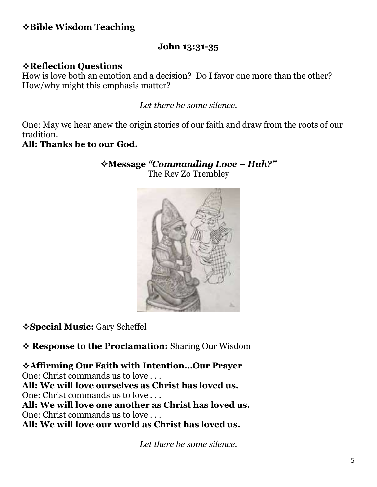## **Bible Wisdom Teaching**

#### **John 13:31-35**

#### **Reflection Questions**

How is love both an emotion and a decision? Do I favor one more than the other? How/why might this emphasis matter?

*Let there be some silence.*

One: May we hear anew the origin stories of our faith and draw from the roots of our tradition.

#### **All: Thanks be to our God.**

# **Message** *"Commanding Love – Huh?"* The Rev Zo Trembley



**Special Music:** Gary Scheffel

**Response to the Proclamation:** Sharing Our Wisdom

**Affirming Our Faith with Intention…Our Prayer** One: Christ commands us to love . . . **All: We will love ourselves as Christ has loved us.** One: Christ commands us to love . . . **All: We will love one another as Christ has loved us.**

One: Christ commands us to love . . .

**All: We will love our world as Christ has loved us.**

*Let there be some silence.*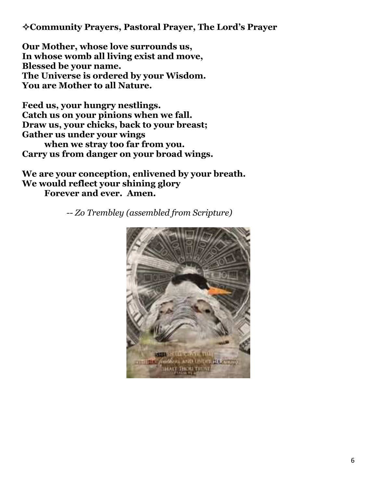**Community Prayers, Pastoral Prayer, The Lord's Prayer** 

**Our Mother, whose love surrounds us, In whose womb all living exist and move, Blessed be your name. The Universe is ordered by your Wisdom. You are Mother to all Nature.**

**Feed us, your hungry nestlings. Catch us on your pinions when we fall. Draw us, your chicks, back to your breast; Gather us under your wings when we stray too far from you. Carry us from danger on your broad wings.**

**We are your conception, enlivened by your breath. We would reflect your shining glory Forever and ever. Amen.**

*-- Zo Trembley (assembled from Scripture)*